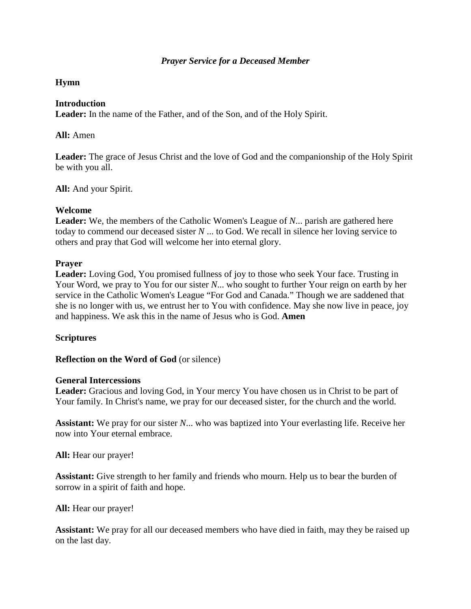# *Prayer Service for a Deceased Member*

# **Hymn**

### **Introduction**

**Leader:** In the name of the Father, and of the Son, and of the Holy Spirit.

## **All:** Amen

**Leader:** The grace of Jesus Christ and the love of God and the companionship of the Holy Spirit be with you all.

**All:** And your Spirit.

## **Welcome**

**Leader:** We, the members of the Catholic Women's League of *N*... parish are gathered here today to commend our deceased sister *N* ... to God. We recall in silence her loving service to others and pray that God will welcome her into eternal glory.

## **Prayer**

**Leader:** Loving God, You promised fullness of joy to those who seek Your face. Trusting in Your Word, we pray to You for our sister *N*... who sought to further Your reign on earth by her service in the Catholic Women's League "For God and Canada." Though we are saddened that she is no longer with us, we entrust her to You with confidence. May she now live in peace, joy and happiness. We ask this in the name of Jesus who is God. **Amen** 

# **Scriptures**

### **Reflection on the Word of God** (or silence)

### **General Intercessions**

Leader: Gracious and loving God, in Your mercy You have chosen us in Christ to be part of Your family. In Christ's name, we pray for our deceased sister, for the church and the world.

**Assistant:** We pray for our sister *N*... who was baptized into Your everlasting life. Receive her now into Your eternal embrace.

**All:** Hear our prayer!

**Assistant:** Give strength to her family and friends who mourn. Help us to bear the burden of sorrow in a spirit of faith and hope.

**All:** Hear our prayer!

**Assistant:** We pray for all our deceased members who have died in faith, may they be raised up on the last day.